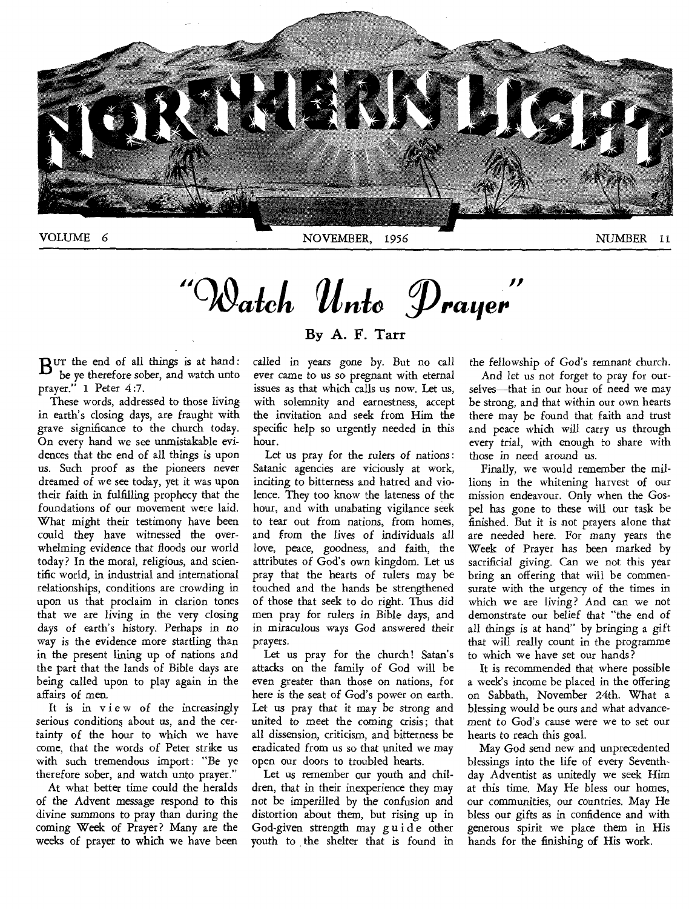

 $\mathbf{u} \cap \mathbf{v}$ Watch Unto Prayer

 $B$ <sup>UT</sup> the end of all things is at hand:<br>
the ve therefore sober, and watch unto be ye therefore sober, and watch unto prayer." 1 Peter 4:7.

These words, addressed to those living in earth's closing days, are fraught with grave significance to the church today. On every hand we see unmistakable evidences that the end of all things is upon us. Such proof as the pioneers never dreamed of we see today, yet it was upon their faith in fulfilling prophecy that the foundations of our movement were laid. What might their testimony have been could they have witnessed the overwhelming evidence that floods our world today? In the moral, religious, and scientific world, in industrial and international relationships, conditions are crowding in upon us that proclaim in clarion tones that we are living in the very closing days of earth's history. Perhaps in no way is the evidence more startling than in the present lining up of nations and the part that the lands of Bible days are being called upon to play again in the affairs of men.

It is in view of the increasingly serious conditions about *us,* and the certainty of the hour to which we have come, that the words of Peter strike us with such tremendous import: "Be ye therefore sober, and watch unto prayer."

At what better time could the heralds of the Advent message respond to this divine summons to pray than during the coming Week of Prayer? Many are the weeks of prayer to which we have been

#### By A. F. Tarr

called in years gone by. But no call ever came to us so pregnant with eternal issues as that which calls us now. Let us, with solemnity and earnestness, accept the invitation and seek from Him the specific help so urgently needed in this hour.

Let us pray for the rulers of nations: Satanic agencies are viciously at work, inciting to bitterness and hatred and violence. They too know the lateness of the hour, and with unabating vigilance seek to tear out from nations, from homes, and from the lives of individuals all love, peace, goodness, and faith, the attributes of God's own kingdom. Let us pray that the hearts of rulers may be touched and the hands be strengthened of those that seek to do right. Thus did men pray for rulers in Bible days, and in miraculous ways God answered their prayers.

Let us pray for the church! Satan's attacks on the family of God will be even greater than those on nations, for here is the seat of God's power on earth. Let us pray that it may be strong and united to meet the coming crisis; that all dissension, criticism, and bitterness be eradicated from us so that united we may open our doors to troubled hearts.

Let us remember our youth and children, that in their inexperience they may not be imperilled by the confusion and distortion about them, but rising up in God-given strength may guide other youth to the shelter that is found in the fellowship of God's remnant church. And let us not forget to pray for ourselves—that in our hour of need we may be strong, and that within our own hearts there may be found that faith and trust

and peace which will carry us through every trial, with enough to share with those in need around *us.*  Finally, we would remember the millions in the whitening harvest of our

mission endeavour. Only when the Gospel has gone to these will our task be finished. But it is not prayers alone that are needed here. For many years the Week of Prayer has been marked by sacrificial giving. Can we not this year bring an offering that will be commensurate with the urgency of the times in which we are living? And can we not demonstrate our belief that "the end of all things is at hand" by bringing a gift that will really count in the programme to which we have set our hands?

It is recommended that where possible a week's income be placed in the offering on Sabbath, November 24th. What a blessing would be ours and what advancement to God's cause were we to set our hearts to reach this goal.

May God send new and unprecedented blessings into the life of every Seventhday Adventist as unitedly we seek Him at this time. May He bless our homes, our communities, our countries. May He bless our gifts as in confidence and with generous spirit we place them in His hands for the finishing of His work.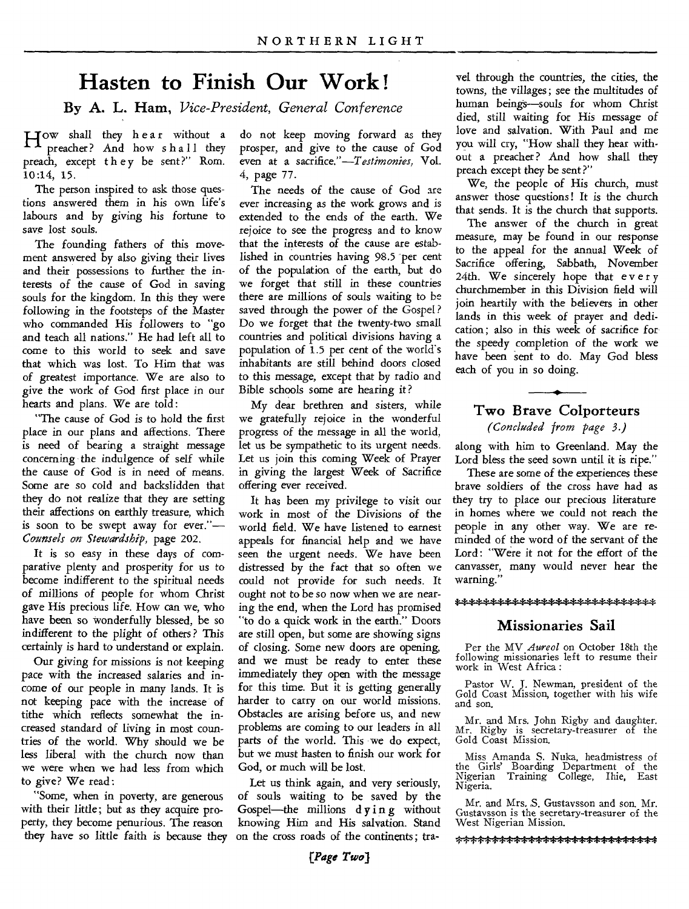### **Hasten to Finish Our Work !**

**By A. L. Ham,** *Vice-President, General Conference* 

How shall they hear without a<br>
preacher? And how shall they preacher? And how shall they preach, except they be sent?" Rom. 10:14, 15.

The person inspired to ask those questions answered them in his own life's labours and by *giving* his fortune to save lost souls.

The founding fathers of this movement answered by also giving their lives and their possessions to further the interests of the cause of God in saving souls for the kingdom. In this they were following in the footsteps of the Master who commanded His followers to "go and teach all nations." He had left all to come to this world to seek and save that which was lost. To Him that was of greatest importance. We are also to give the work of God first place in our hearts and plans. We are told:

"The cause of God is to hold the first place in our plans and affections. There is need of bearing a straight message concerning the indulgence of self while the cause of God is in need of means. Some are so cold and backslidden that they do not realize that they are setting their affections on earthly treasure, which is soon to be swept away for ever."— *Counsels on Stewardship,* page 202.

It is so easy in these days of comparative plenty and prosperity for us to become indifferent to the spiritual needs of millions of people for whom Christ gave His precious life. How can we, who have been so wonderfully blessed, be so indifferent to the plight of others ? This certainly is hard to understand or explain.

Our *giving* for missions is not keeping pace with the increased salaries and income of our people in many lands. It is not keeping pace with the increase of tithe which reflects somewhat the increased standard of living in most countries of the world. Why should we be less liberal with the church now than we were when we had less from which to give? We read:

"Some, when in poverty, are generous with their little; but as they acquire property, they become penurious. The reason they have so little faith is because they do not keep moving forward as they prosper, and give to the cause of God even at a *sacrifice."—Testimonies,* Vol. 4, page 77.

The needs of the cause of God are ever increasing as the work grows and is extended to the ends of the earth. We rejoice to see the progress and to know that the interests of the cause are established in countries having 98.5 per cent of the population of the earth, but do we forget that still in these countries there are millions of souls waiting to be saved through the power of the Gospel ? Do we forget that the twenty-two small countries and political divisions having a population of  $1.5$  per cent of the world's inhabitants are still behind doors closed to this message, except that by radio and Bible schools some are hearing it?

My dear brethren and sisters, while we gratefully rejoice in the wonderful progress of the message in all the world, let us be sympathetic to its urgent needs. Let us join this coming Week of Prayer in giving the largest Week of Sacrifice offering ever received.

It has been my privilege to visit our work in most of the Divisions of the world field. We have listened to earnest appeals for financial help and we have seen the urgent needs. We have been distressed by the fact that so often we could not provide for such needs. It ought not to be so now when we are nearing the end, when the Lord has promised "to do a quick work in the earth." Doors are still open, but some are showing signs of closing. Some new doors are opening, and we must be ready to enter these immediately they open with the message for this time. But it is getting generally harder to carry on our world missions. Obstacles are arising before us, and new problems are coming to our leaders in all parts of the world. This we do expect, but we must hasten to finish our work for God, or much will be lost.

Let us think again, and very seriously, of souls waiting to be saved by the Gospel—the millions dying without knowing Him and His salvation. Stand on the cross roads of the continents; tra-

vet through the countries, the cities, the towns, the villages; see the multitudes of human beings—souls for whom Christ died, still waiting for His message of love and salvation. With Paul and me you will cry, "How shall they hear without a preacher ? And how shall they preach except they be sent?"

We, the people of His church, must answer those questions! It is the church that sends. It is the church that supports.

The answer of the church in great measure, may be found in our response to the appeal for the annual Week of Sacrifice offering, Sabbath, November 24th. We sincerely hope that every churchmember in this Division field will join heartily with the believers in other lands in this week of prayer and dedication; also in this week of sacrifice for the speedy completion of the work we have been sent to do. May God bless each of you in so doing.

### **Two Brave Colporteurs**

*(Concluded from page 3.)* 

along with him to Greenland. May the Lord bless the seed sown until it is ripe."

These are some of the experiences these brave soldiers of the cross have had as they try to place our precious literature in homes where we could not reach the people in any other way. We are reminded of the word of the servant of the Lord: "Were it not for the effort of the canvasser, many would never hear the warning.'

#### \*\*\*\*\*\*\*\*\*\*\*\*\*\*\*\*\*\*\*\*\*\*\*\*\*\*

#### **Missionaries Sail**

Per the MV *Aureol* on October 18th the following missionaries left to resume their work in West Africa :

Pastor W. J. Newman, president of the Gold Coast Mission, together with his wife and son.

Mr. and Mrs. John Rigby and daughter. Mr. Rigby is secretary-treasurer of the Gold Coast Mission.

Miss Amanda S. Nuka, headmistress of the Girls' Boarding Department of the Nigerian Training College, Ihie, East Nigeria.

Mr. and Mrs. *S.* Gustaysson and son. Mr. Gustaysson is the secretary-treasurer of the West Nigerian Mission.

\*\*\*\*\*\*\*\*\*\*\*\*\*\*\*\*\*\*\*\*\*\*\*\*\*\*\*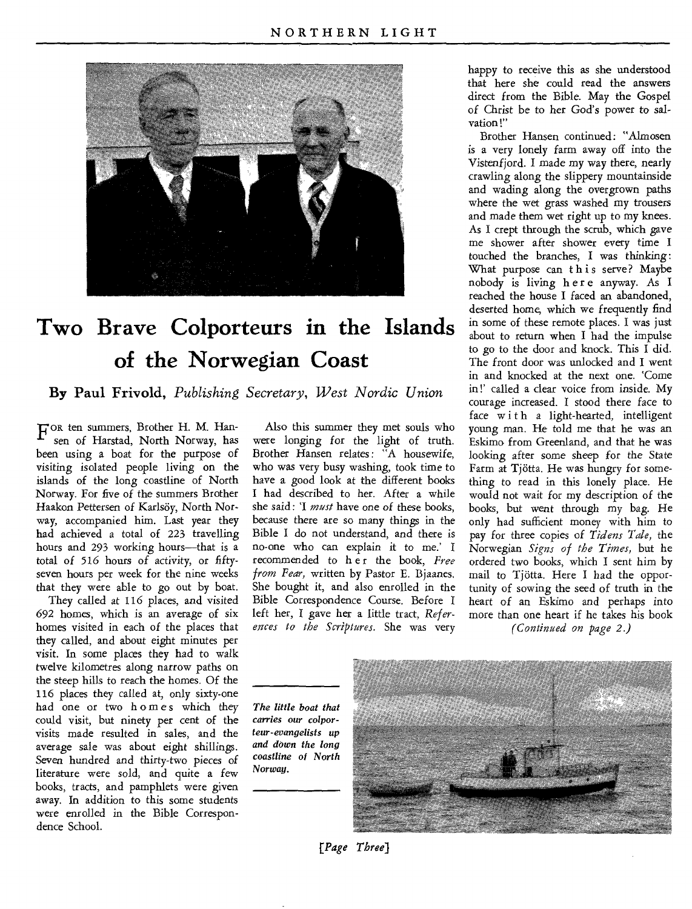

## **Two Brave Colporteurs in the Islands of the Norwegian Coast**

**By Paul Frivold,** *Publishing Secretary, West Nordic Union* 

FOR ten summers, Brother H. M. Han-<br>F sen of Harstad, North Norway, has sen of Harstad, North Norway, has been using a boat for the purpose of visiting isolated people living on the islands of the long coastline of North Norway. For five of the summers Brother Haakon Pettersen of Karlsöy, North Norway, accompanied him. Last year they had achieved a total of 223 travelling hours and 293 working hours—that is a total of 516 *hours* of activity, or fiftyseven hours per week for the nine weeks that they were able to go out by boat.

They called at 116 places, and visited 692 homes, which is an average of six homes visited in each of the places that they called, and about eight minutes per visit. In some places they had to walk twelve kilometres along narrow paths on the steep hills to reach the homes. Of the 116 places they called at, only sixty-one had one or two homes which they could visit, but ninety per cent of the visits made resulted in sales, and the average sale was about eight shillings. Seven hundred and thirty-two *pieces* of literature were sold, and quite a few books, tracts, and pamphlets were given away. In addition to this some students were enrolled in the Bible Correspondence School.

Also this summer they met souls who were longing for the light of truth. Brother Hansen relates: "A housewife, who was very busy washing, took time to have a good look at the different books I had described to her. After a while she said: 'I *must* have one of these books, because there are so many things in the Bible I do not understand, and there is no-one who can explain it to me.' I recommended to her the book, Free *from Fear,* written by Pastor E. Bjaanes. She bought it, and also enrolled in the Bible Correspondence Course. Before I left her, I gave her a little tract, *References to the Scriptures.* She was very

happy to receive this as she understood that here she could read the answers direct from the Bible. May the Gospel of Christ be to her God's power to salvation!"

Brother Hansen continued: "Almosen is a very lonely farm away off into the Vistenfjord. I made my way there, nearly crawling along the slippery mountainside and wading along the overgrown paths where the wet grass washed my trousers and made them wet right up to my knees. As I crept through the scrub, which gave me shower after shower every time I touched the branches, I was thinking: What purpose can this serve? Maybe nobody is living here anyway. As I reached the house I faced an abandoned, deserted home, which we frequently find in some of these remote places. I was just about to return when I had the impulse to go to the door and knock. This I did. The front door was unlocked and I went in and knocked at the next one. 'Come in!' called a clear voice from inside. My courage increased. I stood there face to face with a light-hearted, intelligent young man. He told me that he was an Eskimo from Greenland, and that he was looking after some sheep for the State Farm at Tjotta. He was hungry for something to read in this lonely place. He would not wait for my description of the books, but went through my bag. He only had sufficient money with him to pay for three copies of *Tidens Tale,* the Norwegian *Signs of the Times,* but he ordered two books, which I sent him by mail to Tjotta. Here I had the opportunity of sowing the seed of truth in the heart of an Eskimo and perhaps into more than one heart if he takes his book

*(Continued on page 2.)* 

*The little boat that carries our colporteur-evangelists up and down the long coastline of North Norway.* 



*[Page Three)*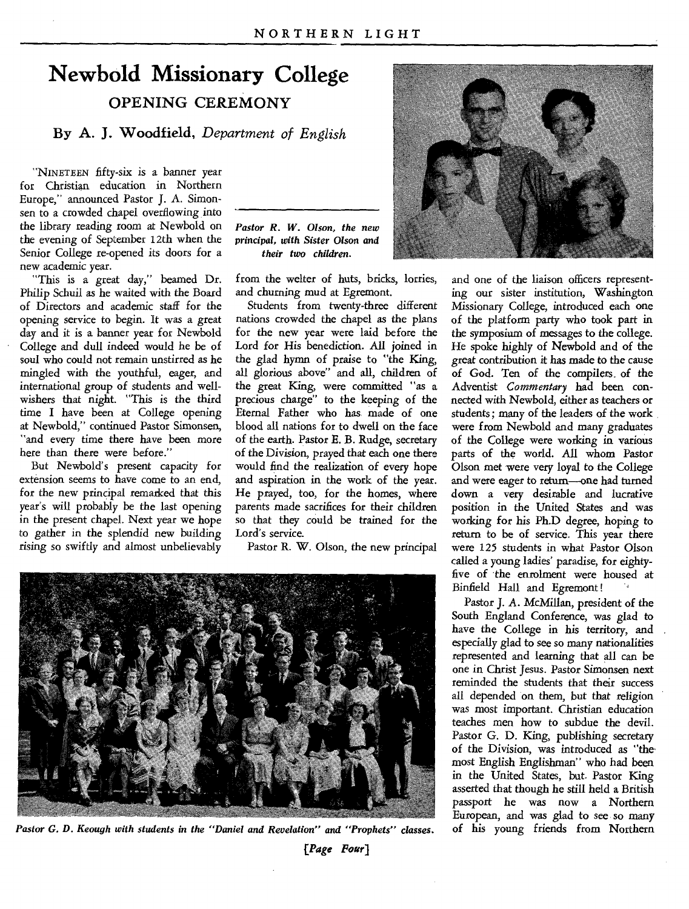### **Newbold Missionary College OPENING CEREMONY**

**By A. J. Woodfield,** *Department of English* 

"NINETEEN fifty-six is a banner year for Christian education in Northern Europe," announced Pastor J. A. Simonsen to a crowded chapel overflowing into the library reading room at Newbold on the evening of September 12th when the Senior College re-opened its doors for a new academic year.

"This is a great day," beamed Dr. Philip Schuil as he waited with the Board of Directors and academic staff for the opening service to begin. It was a great day and it is a banner year for Newbold College and dull indeed would he be of soul who could not remain unstirred as he mingled with the youthful, eager, and international group of students and wellwishers that night. "This is the third time **I** have been at College opening at Newbold," continued Pastor Simonsen, "and every time there have been more here than there were before."

But Newbold's present capacity for extension seems to have come to an end, for the new principal remarked that this year's will probably be the last opening in the present chapel. Next year we hope to gather in the splendid new building rising so swiftly and almost unbelievably *Pastor R. W. Olson, the new*  principal, *with Sister Olson and their two children.* 

from the welter of huts, bricks, lorries, and churning mud at Egremont.

Students from twenty-three different nations crowded the chapel as the plans for the new year were laid before the Lord for His benediction. All joined in the glad hymn of praise to "the King, all glorious above" and all, children of the great King, were committed "as a precious charge" to the keeping of the Eternal Father who has made of one blood all nations for to dwell on the face of the earth. Pastor E. B. Rudge, secretary of the Division, prayed that each one there would find the realization of every hope and aspiration in the work of the year. He prayed, too, for the homes, where parents made sacrifices for their children so that they could be trained for the Lord's service.

Pastor R. W. Olson, the new principal







and one of the liaison officers representing our sister institution, Washington Missionary College, introduced each one of the platform party who took part in the symposium of messages to the college. He spoke highly of Newbold and of the great contribution it has made to the cause of God. Ten of the compilers\_ of the Adventist *Commentary* had been connected with Newbold, either as teachers or students; many of the leaders of the work were from Newbold and many graduates of the College were working in various parts of the world. All whom Pastor Olson met were very loyal to the College and were eager to return—one had turned down a very desirable and lucrative position in the United States and was working for his Ph.D degree, hoping to return to be of service. This year there were 125 students in what Pastor Olson called a young ladies' paradise, for eightyfive of the enrolment were housed at Binfield Hall and Egremont!

Pastor J. A. McMillan, president of the South England Conference, was glad to have the College in his territory, and especially glad to see so many nationalities represented and learning that all can be one in Christ Jesus. Pastor Simonsen next reminded the students that their success all depended on them, but that religion was most important. Christian education teaches men how to subdue the devil. Pastor G. D. King, publishing secretary of the Division, was introduced as "the• most English Englishman" who had been in the United States, but. Pastor King asserted that though he still held a British passport he was now a Northern European, and was glad to see so many of his young friends from Northern

*(Page Pour]*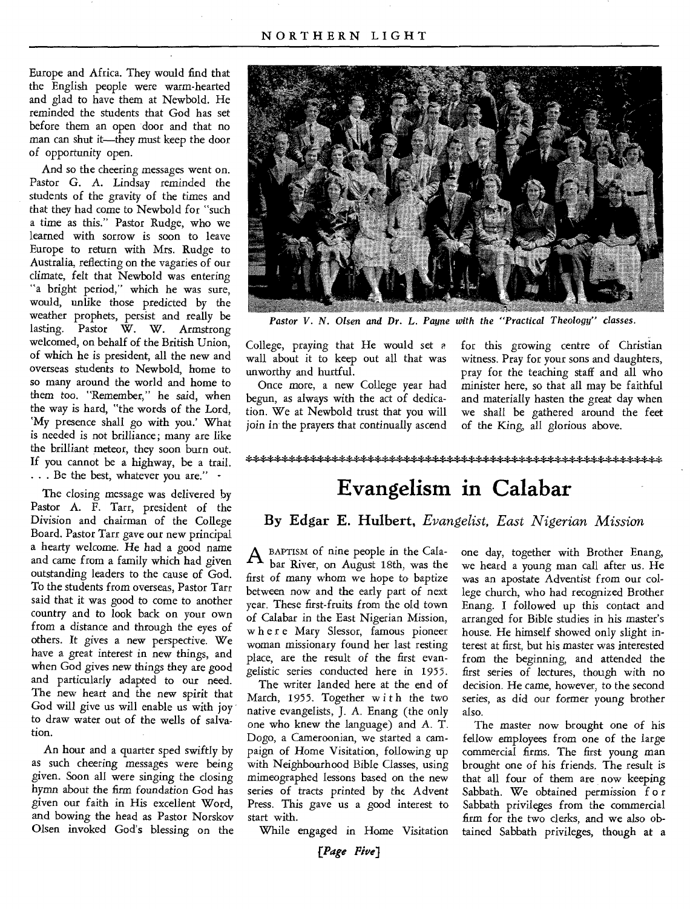Europe and Africa. They would find that the English people were warm-hearted and glad to have them at Newbold. He reminded the students that God has set before them an open door and that no man can shut it—they must keep the door of opportunity open.

And so the cheering messages went on. Pastor G. A. Lindsay reminded the students of the gravity of the times and that they had come to Newbold for "such a time as this." Pastor Rudge, who we learned with sorrow is soon to leave Europe to return with Mrs. Rudge to Australia, reflecting on the vagaries of our climate, felt that Newbold was entering "a bright period," which he was sure, would, unlike those predicted by the weather prophets, persist and really be lasting. Pastor W. W. Armstrong welcomed, on behalf of the British Union, of which he is president, all the new and overseas students to Newbold, home to so many around the world and home to them too. "Remember," *he* said, when the way is hard, "the words of the Lord, `My presence shall go with you.' What is needed is not brilliance ; many are like the brilliant meteor, they soon burn out. If you cannot be a highway, be a trail. . . . Be the best, whatever you are." -

The closing message was delivered by Pastor A. F. Tarr, president of the Division and chairman of the College Board. Pastor Tarr gave our new principal a hearty welcome. He had a good name and came from a family which had given outstanding leaders to the cause of God. To the students from overseas, Pastor Tarr said that it was good to come to another country and to look back on your own from a distance and through the eyes of others. It gives a new perspective. We have a great interest in new things, and when God gives new things they are good and particularly adapted to our need. The new heart and the new spirit that God will give us will enable us with joy to draw water out of the wells of salvation.

An hour and a quarter sped swiftly by as such cheering messages were being given. Soon all were singing the closing hymn about the firm foundation God has given our faith in His excellent Word, and bowing the head as Pastor Norskov Olsen invoked God's blessing on the



*Pastor V. N. Olsen and Dr. L. Payne with the "Practical Theology" classes.* 

College, praying that He would set a wall about it to keep out all that was unworthy and hurtful.

Once more, a new College year had begun, as always with the act of dedication. We at Newbold trust that you will join in the prayers that continually ascend for this growing centre of Christian witness. Pray for your sons and daughters, pray for the teaching staff and all who minister here, so that all may be faithful and materially hasten the great day when we shall be gathered around the feet of the King, all glorious above.

#### 

### **Evangelism in Calabar**

#### **By Edgar E. Hulbert,** *Evangelist, East Nigerian Mission*

 $A$  BAPTISM of nine people in the Cala-<br>bar River, on August 18th, was the bar River, on August 18th, was the first of many whom we hope to baptize between now and the early part of next year. These first-fruits from the old town of Calabar in the East Nigerian Mission, w h e r e Mary Slessor, famous pioneer woman missionary found her last resting place, are the result of the first evangelistic series conducted here in 1955.

The writer landed here at the end of March, 1955. Together with the two native evangelists, J. A. Enang (the only one who knew the language) and A. T. Dogo, a Cameroonian, we started a campaign of Home Visitation, following up with Neighbourhood Bible Classes, using mimeographed lessons based on the new series of tracts printed by the Advent Press. This gave us a good interest to start with.

While engaged in Home Visitation

one day, together with Brother Enang, we heard a young man call after us. He was an apostate Adventist from our college church, who had recognized Brother Enang. I followed up this contact and arranged for Bible studies in his master's house. He himself showed only slight interest at first, but his master was interested from the beginning, and attended the first series of lectures, though with no decision. He came, however, to the second *series,* as did our former young brother also.

The master now brought one of his fellow employees from one of the large commercial firms. The first young man brought one of his friends. The result is that all four of them are now keeping Sabbath. We obtained permission f o r Sabbath privileges from the commercial firm for the two clerks, and we also obtained Sabbath privileges, though at a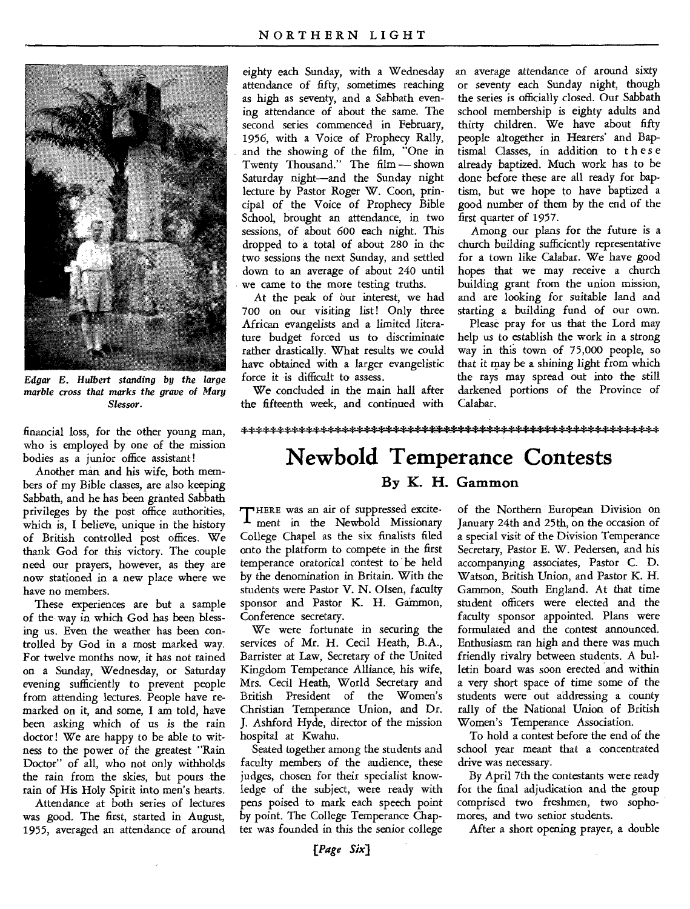

*Edgar E. Hulbert standing by the large marble cross that marks the grave of Mary Slessor.* 

financial loss, for the other young man, who is employed by one of the mission bodies as a junior office assistant!

Another man and his wife, both members of my Bible classes, are also keeping Sabbath, and he has been granted Sabbath privileges by the post office authorities, which is, I believe, unique in the history of British controlled post offices. We thank God for this victory. The couple need our prayers, however, as they are now stationed in a new place where we have no members.

These experiences are but a sample of the way in which God has been blessing us. Even the weather has been controlled by God in a most marked way. For twelve months now, it has not rained on a Sunday, Wednesday, or Saturday evening sufficiently to prevent people from attending lectures. People have remarked on it, and some, I am told, have been asking which of us is the rain doctor ! We are happy to be able to witness to the power of the greatest "Rain Doctor" of all, who not only withholds the rain from the skies, but pours the rain of His Holy Spirit into men's hearts.

Attendance at both series of lectures was good. The first, started in August, 1955, averaged an attendance of around

eighty each Sunday, with a Wednesday attendance of fifty, sometimes reaching as high as seventy, and a Sabbath evening attendance of about the same. The second series commenced in February, 1956, with a Voice of Prophecy Rally, and the showing of the film, "One in Twenty Thousand." The film — shown Saturday night—and the Sunday night lecture by Pastor Roger W. Coon, principal of the Voice of Prophecy Bible School, brought an attendance, in two sessions, of about 600 each night. This dropped to a total of about 280 in the two sessions the next Sunday, and settled down to an average of about 240 until we came to the more testing truths.

At the peak of our interest, we had 700 on our visiting list! Only three African evangelists and a limited literature budget forced us to discriminate rather drastically. What results we could have obtained with a larger evangelistic force it is difficult to assess.

We concluded in the main hall after the fifteenth week, and continued with an average attendance of around sixty or seventy each Sunday night, though the series is officially closed. Our Sabbath school membership is eighty adults and thirty children. We have about fifty people altogether in Hearers' and Baptismal Classes, in addition to these already baptized. Much work has to be done before these are all ready for baptism, but we hope to have baptized a good number of them by the end of the first quarter of 1957.

Among our plans for the future is a church building sufficiently representative for a town like Calabar. We have good hopes that we may receive a church building grant from the union mission, and are looking for suitable land and starting a building fund of our own.

Please pray for us that the Lord may help us to establish the work in a strong way in this town of 75,000 people, so that it may be a shining light from which the rays may spread out into the still darkened portions of the Province of Calabar.

#### 

## **Newbold Temperance Contests**

### **By K. H. Gammon**

THERE was an air of suppressed excite-<br>ment in the Newbold Missionary HERE was an air of suppressed excite-College Chapel as the six finalists filed onto the platform to compete in the first temperance oratorical contest to be held by the denomination in Britain. With the students were Pastor V. N. Olsen, faculty sponsor and Pastor K. H. Gammon, Conference secretary.

We were fortunate in securing the services of Mr. H. Cecil Heath, B.A., Barrister at Law, Secretary of the United Kingdom Temperance Alliance, his wife, Mrs. Cecil Heath, World Secretary and British President of the Women's Christian Temperance Union, and Dr. J. Ashford Hyde, director of the mission hospital at Kwahu.

Seated together among the students and faculty members of the audience, these judges, chosen for their specialist knowledge of the subject, were ready with pens poised to mark each speech point by point. The College Temperance Chapter was founded in this the senior college of the Northern European Division on January 24th and 25th, on the occasion of a special visit of the Division Temperance Secretary, Pastor E. W. Pedersen, and his accompanying associates, Pastor C. D. Watson, British Union, and Pastor K. H. Gammon, South England. At that time student officers were elected and the faculty sponsor appointed. Plans were formulated and the contest announced. Enthusiasm ran high and there was much friendly rivalry between students. A bulletin board was soon erected and within a very short space of time some of the students were out addressing a county rally of the National Union of British Women's Temperance Association.

To hold a contest before the end of the school year meant that a concentrated drive was necessary.

By April 7th the contestants were ready for the final adjudication and the group comprised two freshmen, two sophomores, and two senior students.

After a short opening prayer, a double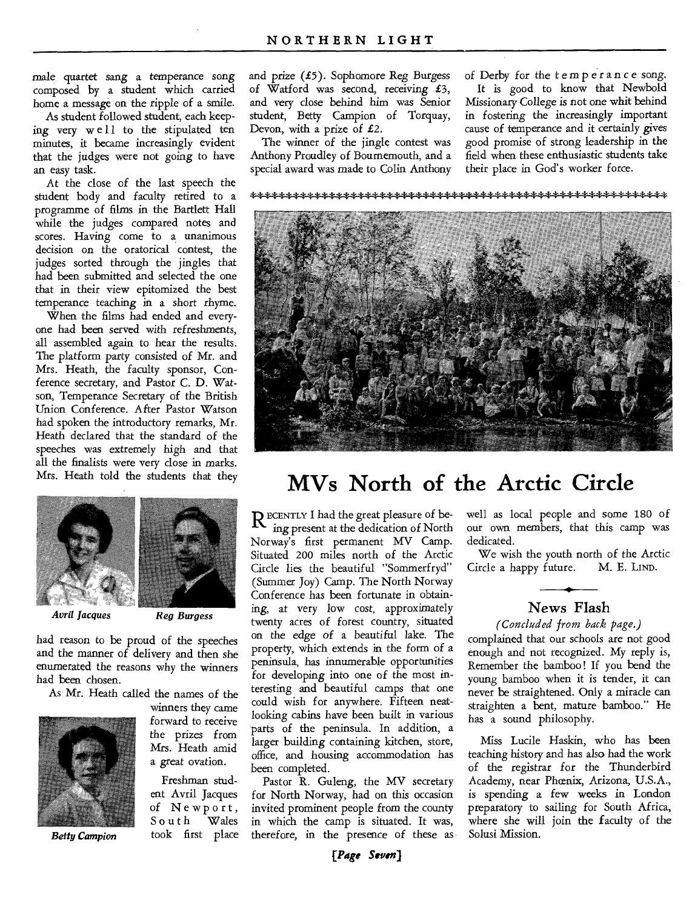male quartet *sang* a temperance *song*  composed by a student which carried home a message on the ripple of a smile.

As student followed student, each keeping very well to the stipulated ten minutes, it became increasingly evident that the judges were not going to have an easy task.

At the close of the last speech the student body and faculty retired to a programme of films in the Bartlett Hall while the judges compared notes and scores. Having come to a unanimous decision on the oratorical contest, the judges sorted through the jingles that had been submitted and selected the one that in their view epitomized the best temperance teaching in a short rhyme.

When the films had ended and everyone had been served with refreshments, all assembled again to hear the results. The platform party consisted of Mr. and Mrs. Heath, the faculty sponsor, Conference secretary, and Pastor C. D. Watson, Temperance Secretary of the British Union Conference. After Pastor Watson had spoken the introductory remarks, Mr. Heath declared that the standard of the speeches was extremely high and that all the finalists were very close in marks. Mrs. Heath told the students that they



*Avril Jacques Reg Burgess* 

had reason to be proud of the speeches and the manner of delivery and then she enumerated the reasons why the winners had been chosen.

As Mr. Heath called the names of the



winners they came forward to receive the prizes from Mrs. Heath amid a *great* ovation.

Freshman student Avril Jacques of Newport,<br>South Wales South took first place and prize  $(f5)$ . Sophomore Reg Burgess of Watford was second, receiving £3, and very close behind him was Senior student, Betty Campion of Torquay, Devon, with a prize of £2.

The winner of the jingle contest was Anthony Proudley of Bournemouth, and a special award was made to Colin Anthony of Derby for the temperance song. It is good to know that Newbold Missionary College is not one whit behind in fostering the increasingly important cause of temperance and it certainly gives good promise of strong leadership in the field when these enthusiastic students take their place in God's worker force.



### **MVs North of the Arctic Circle**

**R** ECENTLY I had the great pleasure of be-<br>**R** ing present at the dedication of North ing present at the dedication of North Norway's first permanent MV Camp. Situated 200 miles north of the Arctic Circle lies the beautiful "Sommerfryd" (Summer Joy) Camp. The North Norway Conference has been fortunate in obtaining, at very low cost, approximately twenty acres of forest country, situated on the edge of a beautiful lake. The property, which extends in the form of a peninsula, has innumerable opportunities for developing into one of the most interesting and beautiful camps that one could wish for anywhere. Fifteen neatlooking cabins have been built in various parts of the peninsula. In addition, a larger building containing kitchen, store, office, and housing accommodation has been completed.

Pastor R. Guleng, the MV secretary for North Norway, had on this occasion invited prominent people from the county in which the camp is situated. It was, Betty Campion took first place therefore, in the presence of these as Solusi Mission.

*[Page Seven]* 

well as local people and some 180 of our own members, that this camp was dedicated.

We wish the youth north of the Arctic Circle a happy future. M. E. LIND.

#### News Flash

*(Concluded from back page.)* 

complained that our schools are not good enough and not recognized. My reply is, Remember the bamboo ! If you bend the young bamboo when it is tender, it can never be straightened. Only a miracle can straighten a bent, mature bamboo." He has a sound philosophy.

Miss Lucile Haskin, who has been teaching history and has also had the work of the registrar for the Thunderbird Academy, near Phoenix, Arizona, U.S.A., is spending a few weeks in London preparatory to sailing for South Africa, where she will join the faculty of the<br>Solusi Mission.